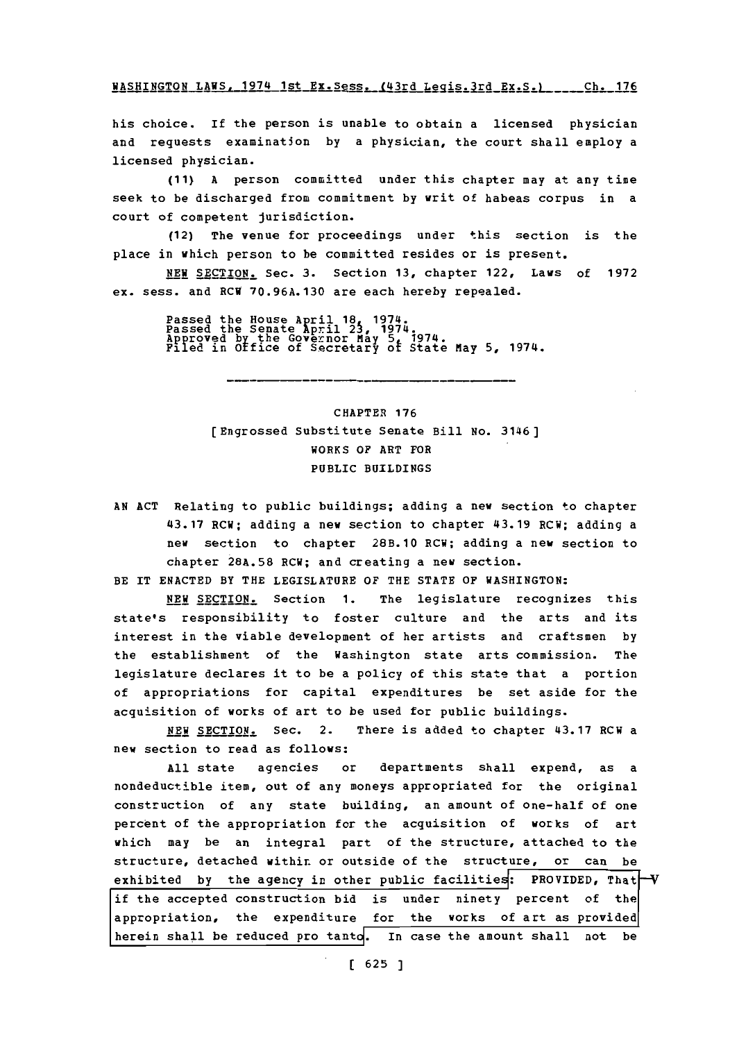WASHINGTON LAWS, 1974 1st Ex. Sess. (43rd Legis. 3rd Ex. S.) Ch. 176

his choice. If the person is unable to obtain a licensed physician and requests examination by a physician, the court shall employ a licensed physician.

**(11) A** person committed under this chapter may at any time seek to be discharged from commitment **by** writ of habeas corpus in a court of competent Jurisdiction.

(12) The venue for proceedings under this section is the place in which person to be committed resides or is present.

**NEW** SECTION. Sec. **3.** Section **13,** chapter 122, Laws of **1972** ex. sess. and RCW **70.96A.130** are each hereby repealed.

Passed the House April **18** 1974 Passed the Senate April 25, 1974. Approved **by** the Governor May **5** 1974. Filed in office of Secretary ot State May **5,** 1974.

# **CHAPTER 176** [Engrossed Substitute Senate Bill No. 3146] WORKS OF ART FOR PUBLIC BUILDINGS

**AN ACT** Relating to public buildings; adding a new section to chapter 43.17 RCW; adding a new section to chapter 43.19 RCW; adding a new section to chapter 28B.10 RCW; adding a new section to chapter **28A.58** RCW; and creating a new section.

BE IT **ENACTED** BY THE LEGISLATURE OF THE **STATE** OF WASHINGTON:

**NEW** SECTION. Section **1.** The legislature recognizes this state's responsibility to foster culture and the arts and its interest in the viable development of her artists and craftsmen **by** the establishment of the Washington state arts commission. The legislature declares it to be a policy of this state that a portion of appropriations for capital expenditures be set aside for the acquisition of works of art to be used for public buildings.

**NEW** SECTION. Sec. 2. There is added to chapter 43.17 RCW a new section to read as follows:

**All** state agencies or departments shall expend, as a nondeductible item, out of any moneys appropriated for the original construction of any state building, an amount of one-half of one percent of the appropriation for the acquisition of works of art which may be an integral part of the structure, attached to the structure, detached withir. or outside of the structure, or can be exhibited by the agency in other public facilities: PROVIDED, That V **if** the accepted construction bid is under ninety percent **of** the appropriation, the expenditure for the works of art as provided herein shall be reduced pro tanto. In case the amount shall not be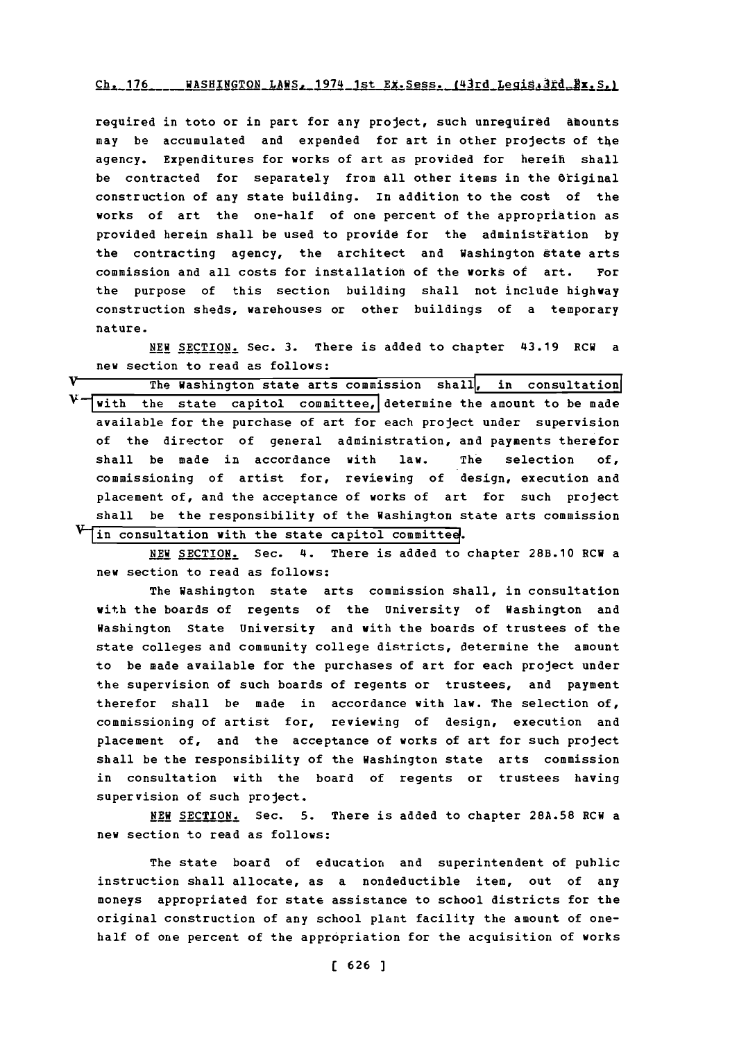### $Ch.$  176. WASHINGTON LAWS. 1974 1st Ex. Sess. (43rd Legis.3rd Bx. S.)

required in toto or in part for any project, such unrequired &mounts may be accumulated and expended for art in other projects of the agency. Expenditures for works of art as provided for hereih shall be contracted for separately from all other items in the Original construction of any state building. in addition to the cost of the works of art the one-half of one percent of the appropriation as provided herein shall be used to provide for the administtation **by** the contracting agency, the architect and Washington state arts commission and all costs for installation of the works of art. For the purpose of this section building shall not include highway construction sheds, warehouses or other buildings of a temporary nature.

**NEW SECTION.** Sec. **3.** There is added to chapter 43.19 RCW a new section to read as follows:

v The Washington state arts commission shall, in consultation  $V$   $\overline{$  with the state capitol committee, determine the amount to be made available for the purchase of art for each project under supervision of the director of general administration, and payments therefor shall be made in accordance with law. The selection **of,** commissioning of artist for, reviewing of design, execution and placement of, and the acceptance of works of art for such project shall be the responsibility of the Washington state arts commission in consultation with the state capitol committee.

NEW SECTION. Sec. 4. There is added to chapter 28B.10 RCW a new section to read as follows:

The Washington state arts commission shall, in consultation with the boards of regents of the University of Washington and Washington State University and with the boards of trustees of the state colleges and community college districts, determine the amount to be made available for the purchases of art for each project under the supervision of such boards of regents or trustees, and payment therefor shall be made in accordance with law. The selection of, commissioning of artist for, reviewing of design, execution and placement of, and the acceptance of works of art for such project shall be the responsibility of the Washington state arts commission in consultation with the board of regents or trustees having supervision of such project.

**NEW** SECTION. Sec. **5.** There is added to chapter **28A.58** RCW a new section to read as follows:

The state board of education and superintendent of public instruction shall allocate, as a nondeductible item, out of any moneys appropriated for state assistance to school districts for the original construction of any school plant facility the amount of onehalf of one percent of the appropriation for the acquisition of works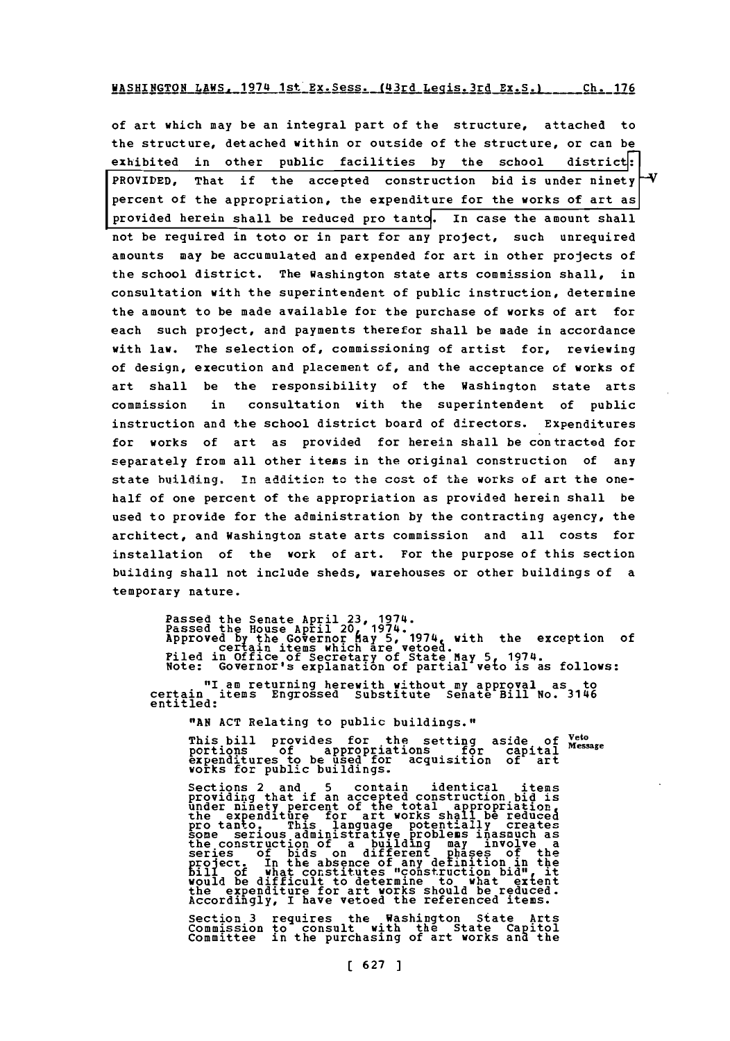#### WASHINGTON LAWS, 1974 1st Ex. Sess. (43rd Leqis. 3rd Ex. S.) Ch. 176

of art which may be an integral part of the structure, attached to the structure, detached within or outside of the structure, or can be exhibited in other public facilities **by** the school districi: PROVIDED, That **if** the accepted construction bid is under ninety percent of the appropriation, the expenditure for the works of art as provided herein shall be reduced pro tanto. In case the amount shall not be reguired in toto or in part for any project, such unrequired amounts may be accumulated and expended for art in other projects of the school district. The Washington state arts commission shall, in consultation with the superintendent of public instruction, determine the amount to be made available for the purchase of works of art for each such project, and payments therefor shall be made in accordance with law. The selection of, commissioning of artist for, reviewing of design, execution and placement of, and the acceptance of works of art shall be the responsibility of the Washington state arts commission in consultation with the superintendent of public instruction and the school district board of directors. Expenditures for works of art as provided for herein shall be contracted for separately from all other items in the original construction of any state building, in addition to the cost of the works of art the onehalf of one percent of the appropriation as provided herein shall be used to provide for the administration **by** the contracting agency, the architect, and Washington state arts commission and all costs for installation of the work of art. For the purpose of this section building shall not include sheds, warehouses or other buildings of a temporary nature.

Passed the Senate April 23, 1974.<br>Passed the House April 20, 1974.<br>Approved by the Governor May 5, 1974, with the exception of<br>Approved by the Governor May 5, 1974, 1974.<br>Piled in Office of Secretary of State May 5, 1974.<br>

"I am returning herewith without my approval as to certain items Engrossed Substitute Senate Bill No. 3146 entitled:

nAN **ACT** Relating to public buildings.",

This bill provides for the setting aside of <sup>Veto</sup><br>portions of appropriations for capital Message<br>expenditures to be used for acquisition of art<br>works for public buildings.

Sections 2 and 5 contain identical items<br>providing that if an accepted construction bid is<br>under ninety percent of the total appropriation<br>the expenditure for art works shall be reduced pro tanto. This language potentially creates<br>some serious administrative problems inasmuch as<br>the construction of a building may involve a<br>series of bids on different Fhases of the project. In the absence of any definition in the **bill** of what constitutes "construction bid", it<br>bill of what constitutes "construction bid", it<br>would be difficult to att works should be reduced Accordingly, I have vetoed the referenced items.

**Section 3 requires the Washington State Arts<br>Commission to consult with the State Capitol<br>Committee in the purchasing of art works and the**